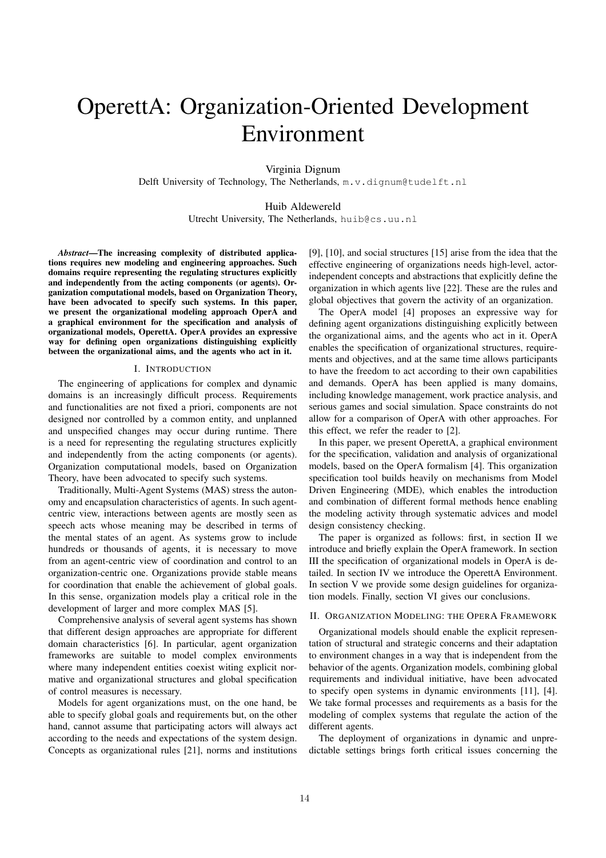# OperettA: Organization-Oriented Development Environment

Virginia Dignum

Delft University of Technology, The Netherlands, m.v.dignum@tudelft.nl

Huib Aldewereld Utrecht University, The Netherlands, huib@cs.uu.nl

*Abstract*—The increasing complexity of distributed applications requires new modeling and engineering approaches. Such domains require representing the regulating structures explicitly and independently from the acting components (or agents). Organization computational models, based on Organization Theory, have been advocated to specify such systems. In this paper, we present the organizational modeling approach OperA and a graphical environment for the specification and analysis of organizational models, OperettA. OperA provides an expressive way for defining open organizations distinguishing explicitly between the organizational aims, and the agents who act in it.

#### I. INTRODUCTION

The engineering of applications for complex and dynamic domains is an increasingly difficult process. Requirements and functionalities are not fixed a priori, components are not designed nor controlled by a common entity, and unplanned and unspecified changes may occur during runtime. There is a need for representing the regulating structures explicitly and independently from the acting components (or agents). Organization computational models, based on Organization Theory, have been advocated to specify such systems.

Traditionally, Multi-Agent Systems (MAS) stress the autonomy and encapsulation characteristics of agents. In such agentcentric view, interactions between agents are mostly seen as speech acts whose meaning may be described in terms of the mental states of an agent. As systems grow to include hundreds or thousands of agents, it is necessary to move from an agent-centric view of coordination and control to an organization-centric one. Organizations provide stable means for coordination that enable the achievement of global goals. In this sense, organization models play a critical role in the development of larger and more complex MAS [5].

Comprehensive analysis of several agent systems has shown that different design approaches are appropriate for different domain characteristics [6]. In particular, agent organization frameworks are suitable to model complex environments where many independent entities coexist witing explicit normative and organizational structures and global specification of control measures is necessary.

Models for agent organizations must, on the one hand, be able to specify global goals and requirements but, on the other hand, cannot assume that participating actors will always act according to the needs and expectations of the system design. Concepts as organizational rules [21], norms and institutions [9], [10], and social structures [15] arise from the idea that the effective engineering of organizations needs high-level, actorindependent concepts and abstractions that explicitly define the organization in which agents live [22]. These are the rules and global objectives that govern the activity of an organization.

The OperA model [4] proposes an expressive way for defining agent organizations distinguishing explicitly between the organizational aims, and the agents who act in it. OperA enables the specification of organizational structures, requirements and objectives, and at the same time allows participants to have the freedom to act according to their own capabilities and demands. OperA has been applied is many domains, including knowledge management, work practice analysis, and serious games and social simulation. Space constraints do not allow for a comparison of OperA with other approaches. For this effect, we refer the reader to [2].

In this paper, we present OperettA, a graphical environment for the specification, validation and analysis of organizational models, based on the OperA formalism [4]. This organization specification tool builds heavily on mechanisms from Model Driven Engineering (MDE), which enables the introduction and combination of different formal methods hence enabling the modeling activity through systematic advices and model design consistency checking.

The paper is organized as follows: first, in section II we introduce and briefly explain the OperA framework. In section III the specification of organizational models in OperA is detailed. In section IV we introduce the OperettA Environment. In section V we provide some design guidelines for organization models. Finally, section VI gives our conclusions.

## II. ORGANIZATION MODELING: THE OPERA FRAMEWORK

Organizational models should enable the explicit representation of structural and strategic concerns and their adaptation to environment changes in a way that is independent from the behavior of the agents. Organization models, combining global requirements and individual initiative, have been advocated to specify open systems in dynamic environments [11], [4]. We take formal processes and requirements as a basis for the modeling of complex systems that regulate the action of the different agents.

The deployment of organizations in dynamic and unpredictable settings brings forth critical issues concerning the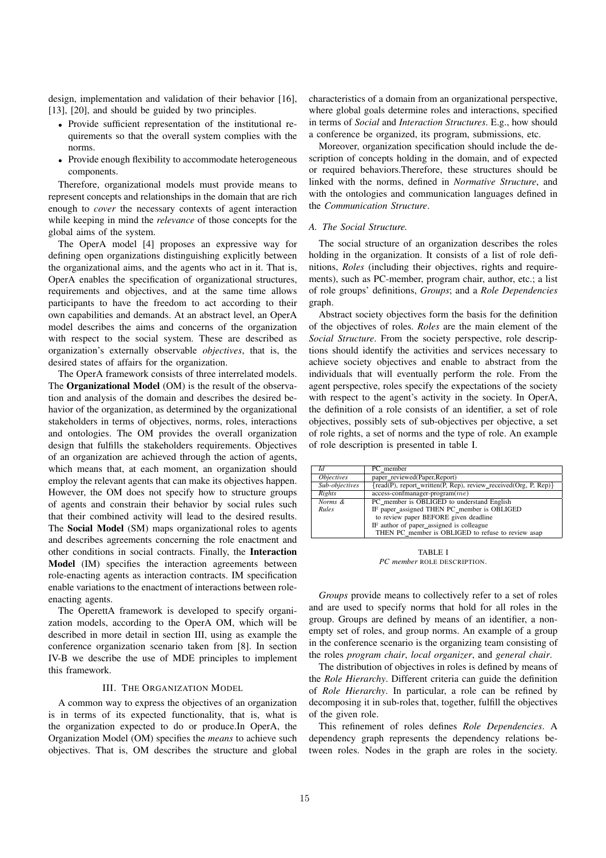design, implementation and validation of their behavior [16], [13], [20], and should be guided by two principles.

- Provide sufficient representation of the institutional requirements so that the overall system complies with the norms.
- Provide enough flexibility to accommodate heterogeneous components.

Therefore, organizational models must provide means to represent concepts and relationships in the domain that are rich enough to *cover* the necessary contexts of agent interaction while keeping in mind the *relevance* of those concepts for the global aims of the system.

The OperA model [4] proposes an expressive way for defining open organizations distinguishing explicitly between the organizational aims, and the agents who act in it. That is, OperA enables the specification of organizational structures, requirements and objectives, and at the same time allows participants to have the freedom to act according to their own capabilities and demands. At an abstract level, an OperA model describes the aims and concerns of the organization with respect to the social system. These are described as organization's externally observable *objectives*, that is, the desired states of affairs for the organization.

The OperA framework consists of three interrelated models. The Organizational Model (OM) is the result of the observation and analysis of the domain and describes the desired behavior of the organization, as determined by the organizational stakeholders in terms of objectives, norms, roles, interactions and ontologies. The OM provides the overall organization design that fulfills the stakeholders requirements. Objectives of an organization are achieved through the action of agents, which means that, at each moment, an organization should employ the relevant agents that can make its objectives happen. However, the OM does not specify how to structure groups of agents and constrain their behavior by social rules such that their combined activity will lead to the desired results. The Social Model (SM) maps organizational roles to agents and describes agreements concerning the role enactment and other conditions in social contracts. Finally, the Interaction Model (IM) specifies the interaction agreements between role-enacting agents as interaction contracts. IM specification enable variations to the enactment of interactions between roleenacting agents.

The OperettA framework is developed to specify organization models, according to the OperA OM, which will be described in more detail in section III, using as example the conference organization scenario taken from [8]. In section IV-B we describe the use of MDE principles to implement this framework.

### III. THE ORGANIZATION MODEL

A common way to express the objectives of an organization is in terms of its expected functionality, that is, what is the organization expected to do or produce.In OperA, the Organization Model (OM) specifies the *means* to achieve such objectives. That is, OM describes the structure and global

characteristics of a domain from an organizational perspective, where global goals determine roles and interactions, specified in terms of *Social* and *Interaction Structures*. E.g., how should a conference be organized, its program, submissions, etc.

Moreover, organization specification should include the description of concepts holding in the domain, and of expected or required behaviors.Therefore, these structures should be linked with the norms, defined in *Normative Structure*, and with the ontologies and communication languages defined in the *Communication Structure*.

#### *A. The Social Structure.*

The social structure of an organization describes the roles holding in the organization. It consists of a list of role definitions, *Roles* (including their objectives, rights and requirements), such as PC-member, program chair, author, etc.; a list of role groups' definitions, *Groups*; and a *Role Dependencies* graph.

Abstract society objectives form the basis for the definition of the objectives of roles. *Roles* are the main element of the *Social Structure*. From the society perspective, role descriptions should identify the activities and services necessary to achieve society objectives and enable to abstract from the individuals that will eventually perform the role. From the agent perspective, roles specify the expectations of the society with respect to the agent's activity in the society. In OperA, the definition of a role consists of an identifier, a set of role objectives, possibly sets of sub-objectives per objective, a set of role rights, a set of norms and the type of role. An example of role description is presented in table I.

| Id                       | PC member                                                           |
|--------------------------|---------------------------------------------------------------------|
| <i><b>Objectives</b></i> | paper reviewed(Paper, Report)                                       |
| Sub-objectives           | ${read(P), report\_written(P, Rep), review\_received(Org, P, Rep)}$ |
| Rights                   | $access-confmanager-program(me)$                                    |
| Norms &                  | PC member is OBLIGED to understand English                          |
| <b>Rules</b>             | IF paper_assigned THEN PC_member is OBLIGED                         |
|                          | to review paper BEFORE given deadline                               |
|                          | IF author of paper_assigned is colleague                            |
|                          | THEN PC member is OBLIGED to refuse to review asap                  |

TABLE I *PC member* ROLE DESCRIPTION.

*Groups* provide means to collectively refer to a set of roles and are used to specify norms that hold for all roles in the group. Groups are defined by means of an identifier, a nonempty set of roles, and group norms. An example of a group in the conference scenario is the organizing team consisting of the roles *program chair*, *local organizer*, and *general chair*.

The distribution of objectives in roles is defined by means of the *Role Hierarchy*. Different criteria can guide the definition of *Role Hierarchy*. In particular, a role can be refined by decomposing it in sub-roles that, together, fulfill the objectives of the given role.

This refinement of roles defines *Role Dependencies*. A dependency graph represents the dependency relations between roles. Nodes in the graph are roles in the society.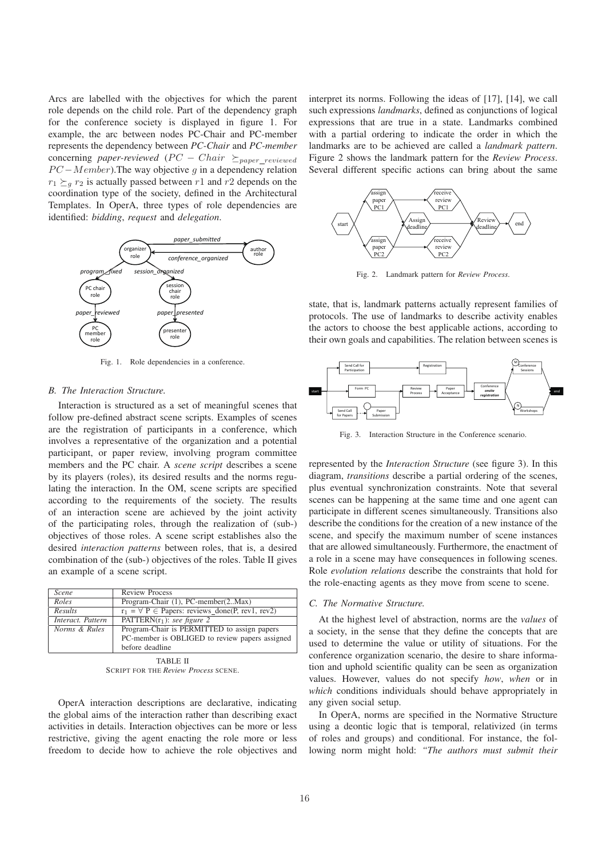Arcs are labelled with the objectives for which the parent role depends on the child role. Part of the dependency graph for the conference society is displayed in figure 1. For example, the arc between nodes PC-Chair and PC-member represents the dependency between *PC-Chair* and *PC-member* concerning *paper-reviewed*  $(PC - Chair \succeq_{paper\_reviewed})$  $PC-Member$ ). The way objective g in a dependency relation  $r_1 \succeq_q r_2$  is actually passed between r1 and r2 depends on the coordination type of the society, defined in the Architectural Templates. In OperA, three types of role dependencies are identified: *bidding*, *request* and *delegation*.



Fig. 1. Role dependencies in a conference.

#### *B. The Interaction Structure.*

Interaction is structured as a set of meaningful scenes that follow pre-defined abstract scene scripts. Examples of scenes are the registration of participants in a conference, which involves a representative of the organization and a potential participant, or paper review, involving program committee members and the PC chair. A *scene script* describes a scene by its players (roles), its desired results and the norms regulating the interaction. In the OM, scene scripts are specified according to the requirements of the society. The results of an interaction scene are achieved by the joint activity of the participating roles, through the realization of (sub-) objectives of those roles. A scene script establishes also the desired *interaction patterns* between roles, that is, a desired combination of the (sub-) objectives of the roles. Table II gives an example of a scene script.

| Scene             | <b>Review Process</b>                                      |
|-------------------|------------------------------------------------------------|
| Roles             | Program-Chair (1), PC-member(2Max)                         |
| Results           | $r_1 = \forall P \in Papers$ : reviews_done(P, rev1, rev2) |
| Interact. Pattern | PATTERN( $r_1$ ): see figure 2                             |
| Norms & Rules     | Program-Chair is PERMITTED to assign papers                |
|                   | PC-member is OBLIGED to review papers assigned             |
|                   | before deadline                                            |
|                   |                                                            |

TABLE II SCRIPT FOR THE *Review Process* SCENE.

OperA interaction descriptions are declarative, indicating the global aims of the interaction rather than describing exact activities in details. Interaction objectives can be more or less restrictive, giving the agent enacting the role more or less freedom to decide how to achieve the role objectives and

interpret its norms. Following the ideas of [17], [14], we call such expressions *landmarks*, defined as conjunctions of logical expressions that are true in a state. Landmarks combined with a partial ordering to indicate the order in which the landmarks are to be achieved are called a *landmark pattern*. Figure 2 shows the landmark pattern for the *Review Process*. Several different specific actions can bring about the same



Fig. 2. Landmark pattern for *Review Process*.

state, that is, landmark patterns actually represent families of protocols. The use of landmarks to describe activity enables the actors to choose the best applicable actions, according to their own goals and capabilities. The relation between scenes is



Fig. 3. Interaction Structure in the Conference scenario.

represented by the *Interaction Structure* (see figure 3). In this diagram, *transitions* describe a partial ordering of the scenes, plus eventual synchronization constraints. Note that several scenes can be happening at the same time and one agent can participate in different scenes simultaneously. Transitions also describe the conditions for the creation of a new instance of the scene, and specify the maximum number of scene instances that are allowed simultaneously. Furthermore, the enactment of a role in a scene may have consequences in following scenes. Role *evolution relations* describe the constraints that hold for the role-enacting agents as they move from scene to scene.

## *C. The Normative Structure.*

At the highest level of abstraction, norms are the *values* of a society, in the sense that they define the concepts that are used to determine the value or utility of situations. For the conference organization scenario, the desire to share information and uphold scientific quality can be seen as organization values. However, values do not specify *how*, *when* or in *which* conditions individuals should behave appropriately in any given social setup.

In OperA, norms are specified in the Normative Structure using a deontic logic that is temporal, relativized (in terms of roles and groups) and conditional. For instance, the following norm might hold: *"The authors must submit their*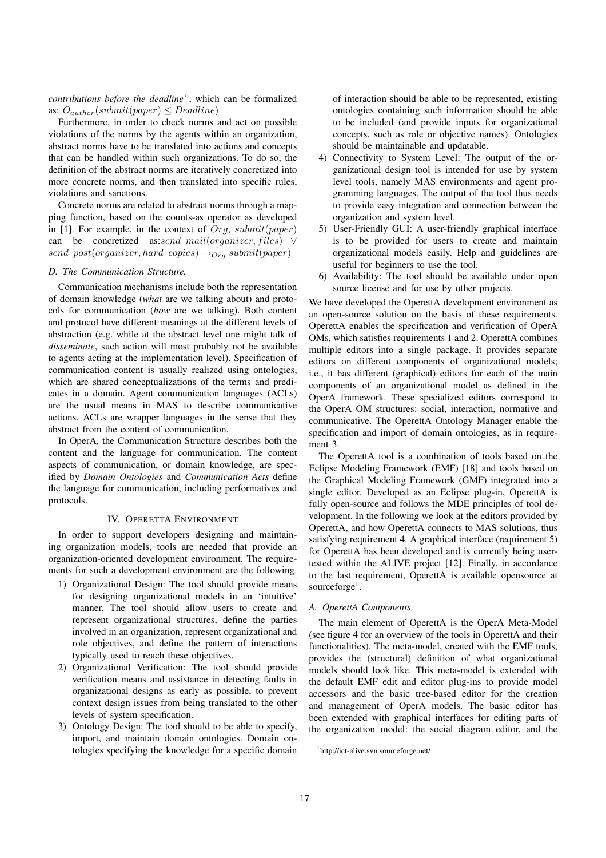*contributions before the deadline"*, which can be formalized as:  $O_{author}(submit(paper) \leq Deadline)$ 

Furthermore, in order to check norms and act on possible violations of the norms by the agents within an organization, abstract norms have to be translated into actions and concepts that can be handled within such organizations. To do so, the definition of the abstract norms are iteratively concretized into more concrete norms, and then translated into specific rules, violations and sanctions.

Concrete norms are related to abstract norms through a mapping function, based on the counts-as operator as developed in [1]. For example, in the context of  $Org$ ,  $submit(paper)$ can be concretized as:send\_mail(organizer, files) ∨ send\_post(organizer, hard\_copies)  $\rightarrow$ <sub>Org</sub> submit(paper)

## *D. The Communication Structure.*

Communication mechanisms include both the representation of domain knowledge (*what* are we talking about) and protocols for communication (*how* are we talking). Both content and protocol have different meanings at the different levels of abstraction (e.g. while at the abstract level one might talk of *disseminate*, such action will most probably not be available to agents acting at the implementation level). Specification of communication content is usually realized using ontologies, which are shared conceptualizations of the terms and predicates in a domain. Agent communication languages (ACLs) are the usual means in MAS to describe communicative actions. ACLs are wrapper languages in the sense that they abstract from the content of communication.

In OperA, the Communication Structure describes both the content and the language for communication. The content aspects of communication, or domain knowledge, are specified by *Domain Ontologies* and *Communication Acts* define the language for communication, including performatives and protocols.

## IV. OPERETTA ENVIRONMENT

In order to support developers designing and maintaining organization models, tools are needed that provide an organization-oriented development environment. The requirements for such a development environment are the following.

- 1) Organizational Design: The tool should provide means for designing organizational models in an 'intuitive' manner. The tool should allow users to create and represent organizational structures, define the parties involved in an organization, represent organizational and role objectives, and define the pattern of interactions typically used to reach these objectives.
- 2) Organizational Verification: The tool should provide verification means and assistance in detecting faults in organizational designs as early as possible, to prevent context design issues from being translated to the other levels of system specification.
- 3) Ontology Design: The tool should to be able to specify, import, and maintain domain ontologies. Domain ontologies specifying the knowledge for a specific domain

of interaction should be able to be represented, existing ontologies containing such information should be able to be included (and provide inputs for organizational concepts, such as role or objective names). Ontologies should be maintainable and updatable.

- 4) Connectivity to System Level: The output of the organizational design tool is intended for use by system level tools, namely MAS environments and agent programming languages. The output of the tool thus needs to provide easy integration and connection between the organization and system level.
- 5) User-Friendly GUI: A user-friendly graphical interface is to be provided for users to create and maintain organizational models easily. Help and guidelines are useful for beginners to use the tool.
- 6) Availability: The tool should be available under open source license and for use by other projects.

We have developed the OperettA development environment as an open-source solution on the basis of these requirements. OperettA enables the specification and verification of OperA OMs, which satisfies requirements 1 and 2. OperettA combines multiple editors into a single package. It provides separate editors on different components of organizational models; i.e., it has different (graphical) editors for each of the main components of an organizational model as defined in the OperA framework. These specialized editors correspond to the OperA OM structures: social, interaction, normative and communicative. The OperettA Ontology Manager enable the specification and import of domain ontologies, as in requirement 3.

The OperettA tool is a combination of tools based on the Eclipse Modeling Framework (EMF) [18] and tools based on the Graphical Modeling Framework (GMF) integrated into a single editor. Developed as an Eclipse plug-in, OperettA is fully open-source and follows the MDE principles of tool development. In the following we look at the editors provided by OperettA, and how OperettA connects to MAS solutions, thus satisfying requirement 4. A graphical interface (requirement 5) for OperettA has been developed and is currently being usertested within the ALIVE project [12]. Finally, in accordance to the last requirement, OperettA is available opensource at sourceforge<sup>1</sup>.

## *A. OperettA Components*

The main element of OperettA is the OperA Meta-Model (see figure 4 for an overview of the tools in OperettA and their functionalities). The meta-model, created with the EMF tools, provides the (structural) definition of what organizational models should look like. This meta-model is extended with the default EMF edit and editor plug-ins to provide model accessors and the basic tree-based editor for the creation and management of OperA models. The basic editor has been extended with graphical interfaces for editing parts of the organization model: the social diagram editor, and the

<sup>1</sup>http://ict-alive.svn.sourceforge.net/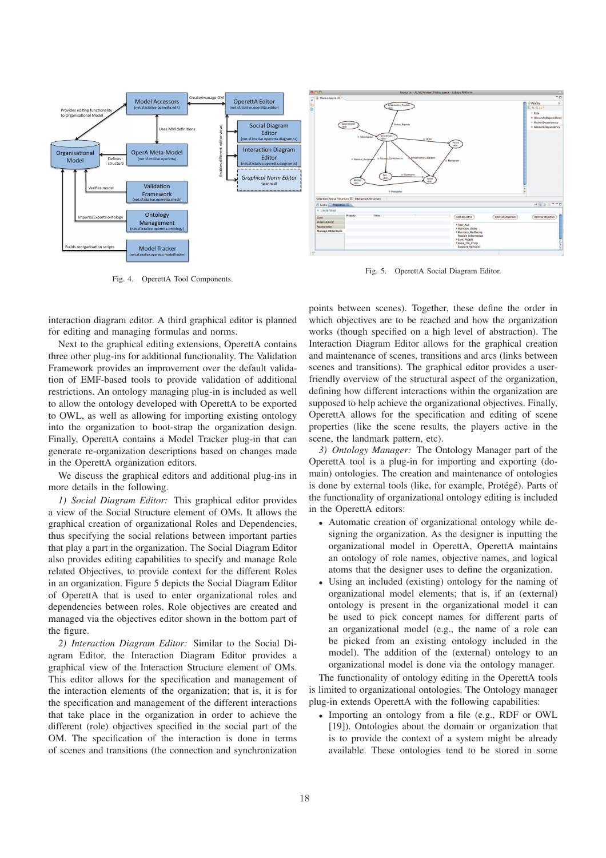

Fig. 4. OperettA Tool Components.

Fig. 5. OperettA Social Diagram Editor.

interaction diagram editor. A third graphical editor is planned for editing and managing formulas and norms.

Next to the graphical editing extensions, OperettA contains three other plug-ins for additional functionality. The Validation Framework provides an improvement over the default validation of EMF-based tools to provide validation of additional restrictions. An ontology managing plug-in is included as well to allow the ontology developed with OperettA to be exported to OWL, as well as allowing for importing existing ontology into the organization to boot-strap the organization design. Finally, OperettA contains a Model Tracker plug-in that can generate re-organization descriptions based on changes made in the OperettA organization editors.

We discuss the graphical editors and additional plug-ins in more details in the following.

*1) Social Diagram Editor:* This graphical editor provides a view of the Social Structure element of OMs. It allows the graphical creation of organizational Roles and Dependencies, thus specifying the social relations between important parties that play a part in the organization. The Social Diagram Editor also provides editing capabilities to specify and manage Role related Objectives, to provide context for the different Roles in an organization. Figure 5 depicts the Social Diagram Editor of OperettA that is used to enter organizational roles and dependencies between roles. Role objectives are created and managed via the objectives editor shown in the bottom part of the figure.

*2) Interaction Diagram Editor:* Similar to the Social Diagram Editor, the Interaction Diagram Editor provides a graphical view of the Interaction Structure element of OMs. This editor allows for the specification and management of the interaction elements of the organization; that is, it is for the specification and management of the different interactions that take place in the organization in order to achieve the different (role) objectives specified in the social part of the OM. The specification of the interaction is done in terms of scenes and transitions (the connection and synchronization

points between scenes). Together, these define the order in which objectives are to be reached and how the organization works (though specified on a high level of abstraction). The Interaction Diagram Editor allows for the graphical creation and maintenance of scenes, transitions and arcs (links between scenes and transitions). The graphical editor provides a userfriendly overview of the structural aspect of the organization, defining how different interactions within the organization are supposed to help achieve the organizational objectives. Finally, OperettA allows for the specification and editing of scene properties (like the scene results, the players active in the scene, the landmark pattern, etc).

*3) Ontology Manager:* The Ontology Manager part of the OperettA tool is a plug-in for importing and exporting (domain) ontologies. The creation and maintenance of ontologies is done by external tools (like, for example, Protégé). Parts of the functionality of organizational ontology editing is included in the OperettA editors:

- Automatic creation of organizational ontology while designing the organization. As the designer is inputting the organizational model in OperettA, OperettA maintains an ontology of role names, objective names, and logical atoms that the designer uses to define the organization.
- Using an included (existing) ontology for the naming of organizational model elements; that is, if an (external) ontology is present in the organizational model it can be used to pick concept names for different parts of an organizational model (e.g., the name of a role can be picked from an existing ontology included in the model). The addition of the (external) ontology to an organizational model is done via the ontology manager.

The functionality of ontology editing in the OperettA tools is limited to organizational ontologies. The Ontology manager plug-in extends OperettA with the following capabilities:

• Importing an ontology from a file (e.g., RDF or OWL [19]). Ontologies about the domain or organization that is to provide the context of a system might be already available. These ontologies tend to be stored in some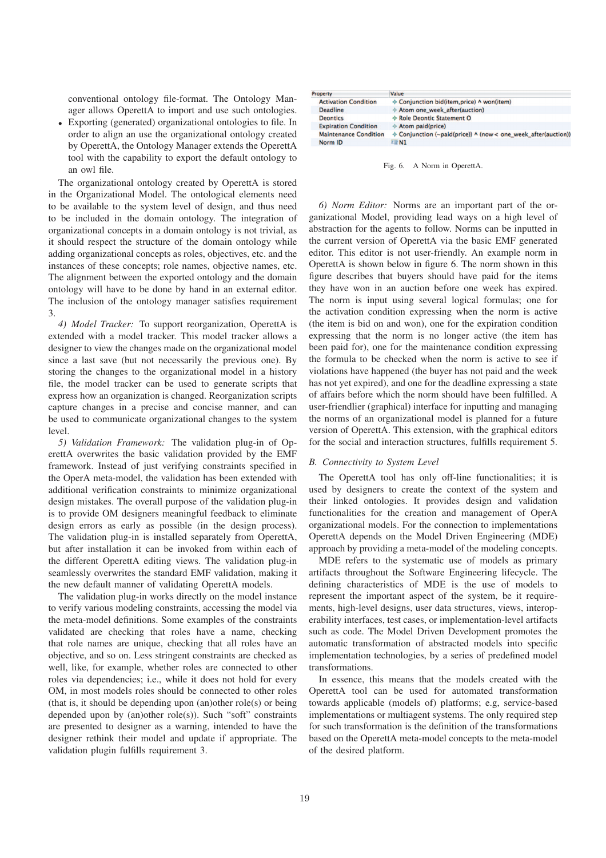conventional ontology file-format. The Ontology Manager allows OperettA to import and use such ontologies.

• Exporting (generated) organizational ontologies to file. In order to align an use the organizational ontology created by OperettA, the Ontology Manager extends the OperettA tool with the capability to export the default ontology to an owl file.

The organizational ontology created by OperettA is stored in the Organizational Model. The ontological elements need to be available to the system level of design, and thus need to be included in the domain ontology. The integration of organizational concepts in a domain ontology is not trivial, as it should respect the structure of the domain ontology while adding organizational concepts as roles, objectives, etc. and the instances of these concepts; role names, objective names, etc. The alignment between the exported ontology and the domain ontology will have to be done by hand in an external editor. The inclusion of the ontology manager satisfies requirement 3.

*4) Model Tracker:* To support reorganization, OperettA is extended with a model tracker. This model tracker allows a designer to view the changes made on the organizational model since a last save (but not necessarily the previous one). By storing the changes to the organizational model in a history file, the model tracker can be used to generate scripts that express how an organization is changed. Reorganization scripts capture changes in a precise and concise manner, and can be used to communicate organizational changes to the system level.

*5) Validation Framework:* The validation plug-in of OperettA overwrites the basic validation provided by the EMF framework. Instead of just verifying constraints specified in the OperA meta-model, the validation has been extended with additional verification constraints to minimize organizational design mistakes. The overall purpose of the validation plug-in is to provide OM designers meaningful feedback to eliminate design errors as early as possible (in the design process). The validation plug-in is installed separately from OperettA, but after installation it can be invoked from within each of the different OperettA editing views. The validation plug-in seamlessly overwrites the standard EMF validation, making it the new default manner of validating OperettA models.

The validation plug-in works directly on the model instance to verify various modeling constraints, accessing the model via the meta-model definitions. Some examples of the constraints validated are checking that roles have a name, checking that role names are unique, checking that all roles have an objective, and so on. Less stringent constraints are checked as well, like, for example, whether roles are connected to other roles via dependencies; i.e., while it does not hold for every OM, in most models roles should be connected to other roles (that is, it should be depending upon (an)other role(s) or being depended upon by (an)other role(s)). Such "soft" constraints are presented to designer as a warning, intended to have the designer rethink their model and update if appropriate. The validation plugin fulfills requirement 3.

| Property                     | Value                                                          |
|------------------------------|----------------------------------------------------------------|
| <b>Activation Condition</b>  | ♦ Conjunction bid(item, price) ^ won(item)                     |
| <b>Deadline</b>              | ♦ Atom one_week_after(auction)                                 |
| <b>Deontics</b>              | <b>← Role Deontic Statement O</b>                              |
| <b>Expiration Condition</b>  | $\triangle$ Atom paid(price)                                   |
| <b>Maintenance Condition</b> | ♦ Conjunction (~paid(price)) ^ (now < one_week_after(auction)) |
| Norm ID                      | $l \equiv N1$                                                  |



*6) Norm Editor:* Norms are an important part of the organizational Model, providing lead ways on a high level of abstraction for the agents to follow. Norms can be inputted in the current version of OperettA via the basic EMF generated editor. This editor is not user-friendly. An example norm in OperettA is shown below in figure 6. The norm shown in this figure describes that buyers should have paid for the items they have won in an auction before one week has expired. The norm is input using several logical formulas; one for the activation condition expressing when the norm is active (the item is bid on and won), one for the expiration condition expressing that the norm is no longer active (the item has been paid for), one for the maintenance condition expressing the formula to be checked when the norm is active to see if violations have happened (the buyer has not paid and the week has not yet expired), and one for the deadline expressing a state of affairs before which the norm should have been fulfilled. A user-friendlier (graphical) interface for inputting and managing the norms of an organizational model is planned for a future version of OperettA. This extension, with the graphical editors for the social and interaction structures, fulfills requirement 5.

#### *B. Connectivity to System Level*

The OperettA tool has only off-line functionalities; it is used by designers to create the context of the system and their linked ontologies. It provides design and validation functionalities for the creation and management of OperA organizational models. For the connection to implementations OperettA depends on the Model Driven Engineering (MDE) approach by providing a meta-model of the modeling concepts.

MDE refers to the systematic use of models as primary artifacts throughout the Software Engineering lifecycle. The defining characteristics of MDE is the use of models to represent the important aspect of the system, be it requirements, high-level designs, user data structures, views, interoperability interfaces, test cases, or implementation-level artifacts such as code. The Model Driven Development promotes the automatic transformation of abstracted models into specific implementation technologies, by a series of predefined model transformations.

In essence, this means that the models created with the OperettA tool can be used for automated transformation towards applicable (models of) platforms; e.g, service-based implementations or multiagent systems. The only required step for such transformation is the definition of the transformations based on the OperettA meta-model concepts to the meta-model of the desired platform.